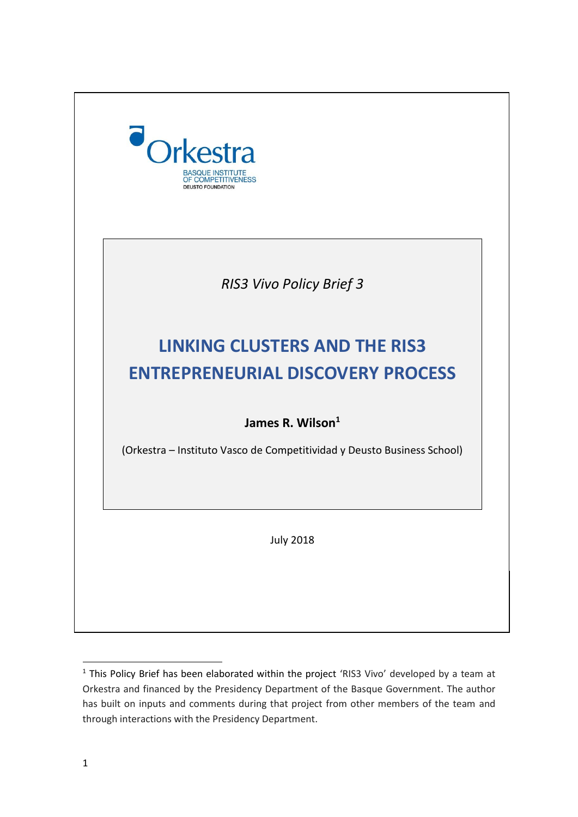

 $1$  This Policy Brief has been elaborated within the project 'RIS3 Vivo' developed by a team at Orkestra and financed by the Presidency Department of the Basque Government. The author has built on inputs and comments during that project from other members of the team and through interactions with the Presidency Department.

**.**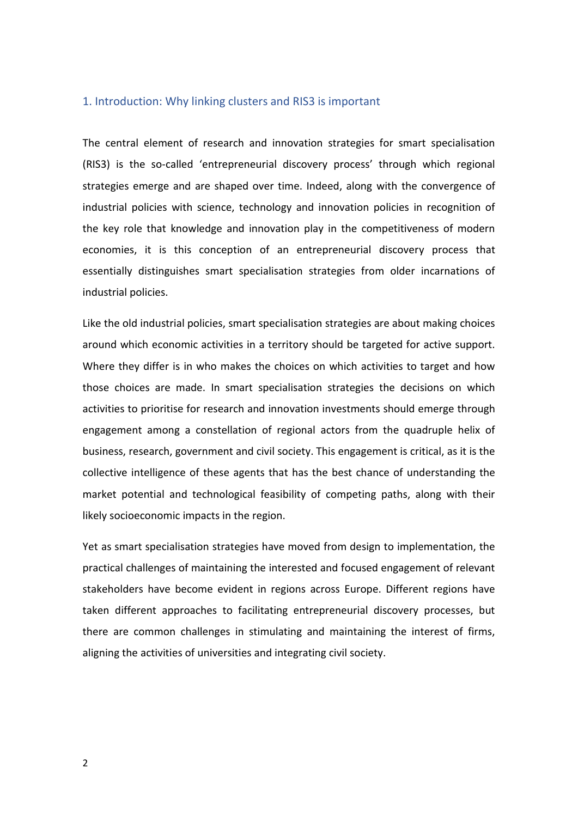## 1. Introduction: Why linking clusters and RIS3 is important

The central element of research and innovation strategies for smart specialisation (RIS3) is the so-called 'entrepreneurial discovery process' through which regional strategies emerge and are shaped over time. Indeed, along with the convergence of industrial policies with science, technology and innovation policies in recognition of the key role that knowledge and innovation play in the competitiveness of modern economies, it is this conception of an entrepreneurial discovery process that essentially distinguishes smart specialisation strategies from older incarnations of industrial policies.

Like the old industrial policies, smart specialisation strategies are about making choices around which economic activities in a territory should be targeted for active support. Where they differ is in who makes the choices on which activities to target and how those choices are made. In smart specialisation strategies the decisions on which activities to prioritise for research and innovation investments should emerge through engagement among a constellation of regional actors from the quadruple helix of business, research, government and civil society. This engagement is critical, as it is the collective intelligence of these agents that has the best chance of understanding the market potential and technological feasibility of competing paths, along with their likely socioeconomic impacts in the region.

Yet as smart specialisation strategies have moved from design to implementation, the practical challenges of maintaining the interested and focused engagement of relevant stakeholders have become evident in regions across Europe. Different regions have taken different approaches to facilitating entrepreneurial discovery processes, but there are common challenges in stimulating and maintaining the interest of firms, aligning the activities of universities and integrating civil society.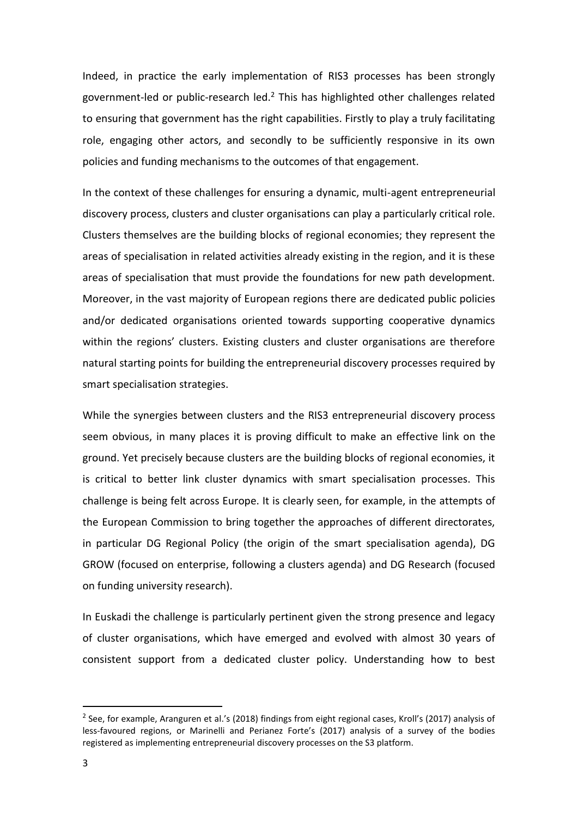Indeed, in practice the early implementation of RIS3 processes has been strongly government-led or public-research led.<sup>2</sup> This has highlighted other challenges related to ensuring that government has the right capabilities. Firstly to play a truly facilitating role, engaging other actors, and secondly to be sufficiently responsive in its own policies and funding mechanisms to the outcomes of that engagement.

In the context of these challenges for ensuring a dynamic, multi-agent entrepreneurial discovery process, clusters and cluster organisations can play a particularly critical role. Clusters themselves are the building blocks of regional economies; they represent the areas of specialisation in related activities already existing in the region, and it is these areas of specialisation that must provide the foundations for new path development. Moreover, in the vast majority of European regions there are dedicated public policies and/or dedicated organisations oriented towards supporting cooperative dynamics within the regions' clusters. Existing clusters and cluster organisations are therefore natural starting points for building the entrepreneurial discovery processes required by smart specialisation strategies.

While the synergies between clusters and the RIS3 entrepreneurial discovery process seem obvious, in many places it is proving difficult to make an effective link on the ground. Yet precisely because clusters are the building blocks of regional economies, it is critical to better link cluster dynamics with smart specialisation processes. This challenge is being felt across Europe. It is clearly seen, for example, in the attempts of the European Commission to bring together the approaches of different directorates, in particular DG Regional Policy (the origin of the smart specialisation agenda), DG GROW (focused on enterprise, following a clusters agenda) and DG Research (focused on funding university research).

In Euskadi the challenge is particularly pertinent given the strong presence and legacy of cluster organisations, which have emerged and evolved with almost 30 years of consistent support from a dedicated cluster policy. Understanding how to best

**.** 

<sup>&</sup>lt;sup>2</sup> See, for example, Aranguren et al.'s (2018) findings from eight regional cases, Kroll's (2017) analysis of less-favoured regions, or Marinelli and Perianez Forte's (2017) analysis of a survey of the bodies registered as implementing entrepreneurial discovery processes on the S3 platform.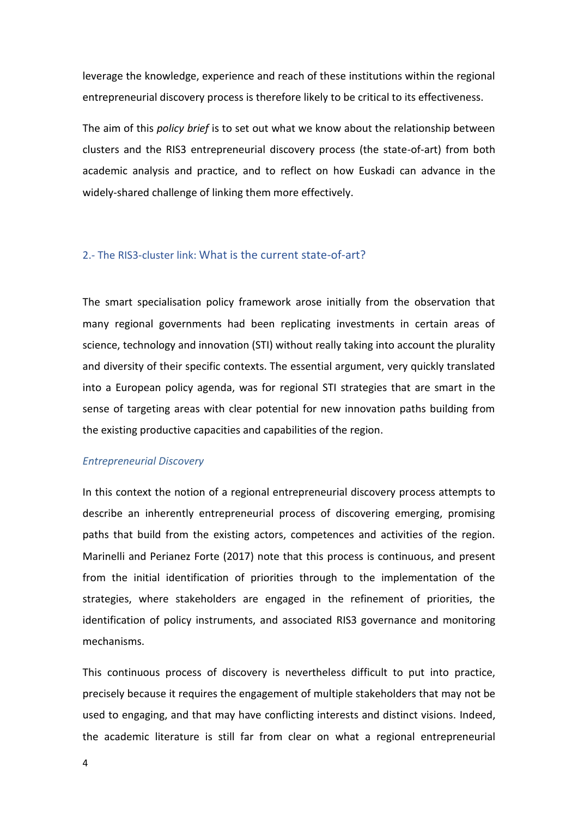leverage the knowledge, experience and reach of these institutions within the regional entrepreneurial discovery process is therefore likely to be critical to its effectiveness.

The aim of this *policy brief* is to set out what we know about the relationship between clusters and the RIS3 entrepreneurial discovery process (the state-of-art) from both academic analysis and practice, and to reflect on how Euskadi can advance in the widely-shared challenge of linking them more effectively.

## 2.- The RIS3-cluster link: What is the current state-of-art?

The smart specialisation policy framework arose initially from the observation that many regional governments had been replicating investments in certain areas of science, technology and innovation (STI) without really taking into account the plurality and diversity of their specific contexts. The essential argument, very quickly translated into a European policy agenda, was for regional STI strategies that are smart in the sense of targeting areas with clear potential for new innovation paths building from the existing productive capacities and capabilities of the region.

## *Entrepreneurial Discovery*

In this context the notion of a regional entrepreneurial discovery process attempts to describe an inherently entrepreneurial process of discovering emerging, promising paths that build from the existing actors, competences and activities of the region. Marinelli and Perianez Forte (2017) note that this process is continuous, and present from the initial identification of priorities through to the implementation of the strategies, where stakeholders are engaged in the refinement of priorities, the identification of policy instruments, and associated RIS3 governance and monitoring mechanisms.

This continuous process of discovery is nevertheless difficult to put into practice, precisely because it requires the engagement of multiple stakeholders that may not be used to engaging, and that may have conflicting interests and distinct visions. Indeed, the academic literature is still far from clear on what a regional entrepreneurial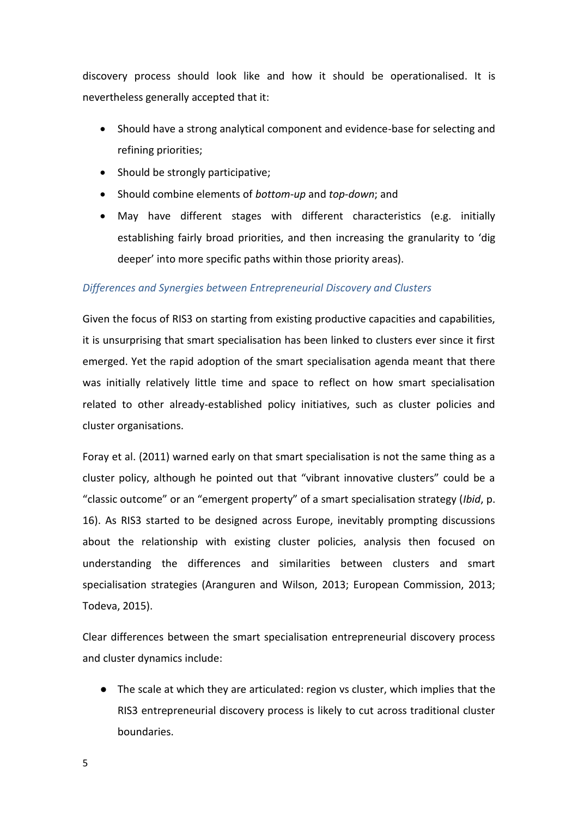discovery process should look like and how it should be operationalised. It is nevertheless generally accepted that it:

- Should have a strong analytical component and evidence-base for selecting and refining priorities;
- Should be strongly participative;
- Should combine elements of *bottom-up* and *top-down*; and
- May have different stages with different characteristics (e.g. initially establishing fairly broad priorities, and then increasing the granularity to 'dig deeper' into more specific paths within those priority areas).

# *Differences and Synergies between Entrepreneurial Discovery and Clusters*

Given the focus of RIS3 on starting from existing productive capacities and capabilities, it is unsurprising that smart specialisation has been linked to clusters ever since it first emerged. Yet the rapid adoption of the smart specialisation agenda meant that there was initially relatively little time and space to reflect on how smart specialisation related to other already-established policy initiatives, such as cluster policies and cluster organisations.

Foray et al. (2011) warned early on that smart specialisation is not the same thing as a cluster policy, although he pointed out that "vibrant innovative clusters" could be a "classic outcome" or an "emergent property" of a smart specialisation strategy (*Ibid*, p. 16). As RIS3 started to be designed across Europe, inevitably prompting discussions about the relationship with existing cluster policies, analysis then focused on understanding the differences and similarities between clusters and smart specialisation strategies (Aranguren and Wilson, 2013; European Commission, 2013; Todeva, 2015).

Clear differences between the smart specialisation entrepreneurial discovery process and cluster dynamics include:

● The scale at which they are articulated: region vs cluster, which implies that the RIS3 entrepreneurial discovery process is likely to cut across traditional cluster boundaries.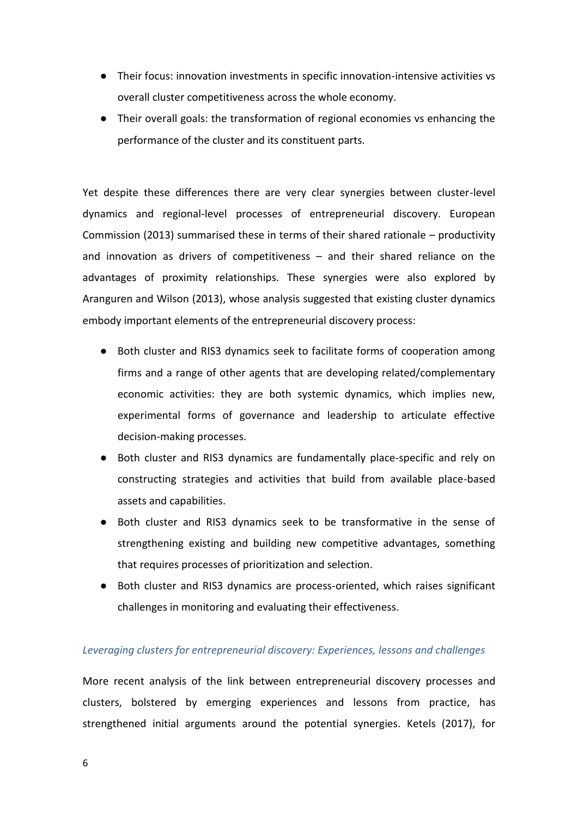- Their focus: innovation investments in specific innovation-intensive activities vs overall cluster competitiveness across the whole economy.
- Their overall goals: the transformation of regional economies vs enhancing the performance of the cluster and its constituent parts.

Yet despite these differences there are very clear synergies between cluster-level dynamics and regional-level processes of entrepreneurial discovery. European Commission (2013) summarised these in terms of their shared rationale – productivity and innovation as drivers of competitiveness – and their shared reliance on the advantages of proximity relationships. These synergies were also explored by Aranguren and Wilson (2013), whose analysis suggested that existing cluster dynamics embody important elements of the entrepreneurial discovery process:

- Both cluster and RIS3 dynamics seek to facilitate forms of cooperation among firms and a range of other agents that are developing related/complementary economic activities: they are both systemic dynamics, which implies new, experimental forms of governance and leadership to articulate effective decision-making processes.
- Both cluster and RIS3 dynamics are fundamentally place-specific and rely on constructing strategies and activities that build from available place-based assets and capabilities.
- Both cluster and RIS3 dynamics seek to be transformative in the sense of strengthening existing and building new competitive advantages, something that requires processes of prioritization and selection.
- Both cluster and RIS3 dynamics are process-oriented, which raises significant challenges in monitoring and evaluating their effectiveness.

## *Leveraging clusters for entrepreneurial discovery: Experiences, lessons and challenges*

More recent analysis of the link between entrepreneurial discovery processes and clusters, bolstered by emerging experiences and lessons from practice, has strengthened initial arguments around the potential synergies. Ketels (2017), for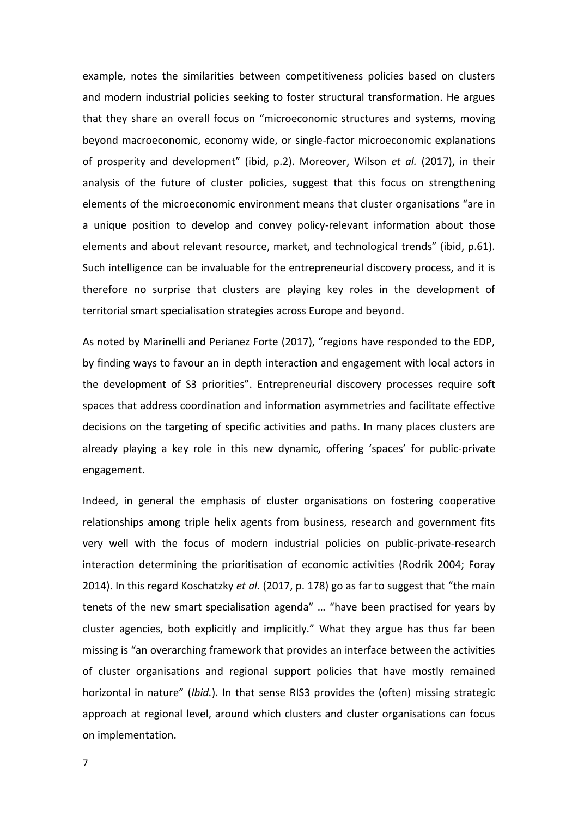example, notes the similarities between competitiveness policies based on clusters and modern industrial policies seeking to foster structural transformation. He argues that they share an overall focus on "microeconomic structures and systems, moving beyond macroeconomic, economy wide, or single-factor microeconomic explanations of prosperity and development" (ibid, p.2). Moreover, Wilson *et al.* (2017), in their analysis of the future of cluster policies, suggest that this focus on strengthening elements of the microeconomic environment means that cluster organisations "are in a unique position to develop and convey policy-relevant information about those elements and about relevant resource, market, and technological trends" (ibid, p.61). Such intelligence can be invaluable for the entrepreneurial discovery process, and it is therefore no surprise that clusters are playing key roles in the development of territorial smart specialisation strategies across Europe and beyond.

As noted by Marinelli and Perianez Forte (2017), "regions have responded to the EDP, by finding ways to favour an in depth interaction and engagement with local actors in the development of S3 priorities". Entrepreneurial discovery processes require soft spaces that address coordination and information asymmetries and facilitate effective decisions on the targeting of specific activities and paths. In many places clusters are already playing a key role in this new dynamic, offering 'spaces' for public-private engagement.

Indeed, in general the emphasis of cluster organisations on fostering cooperative relationships among triple helix agents from business, research and government fits very well with the focus of modern industrial policies on public-private-research interaction determining the prioritisation of economic activities (Rodrik 2004; Foray 2014). In this regard Koschatzky *et al.* (2017, p. 178) go as far to suggest that "the main tenets of the new smart specialisation agenda" … "have been practised for years by cluster agencies, both explicitly and implicitly." What they argue has thus far been missing is "an overarching framework that provides an interface between the activities of cluster organisations and regional support policies that have mostly remained horizontal in nature" (*Ibid.*). In that sense RIS3 provides the (often) missing strategic approach at regional level, around which clusters and cluster organisations can focus on implementation.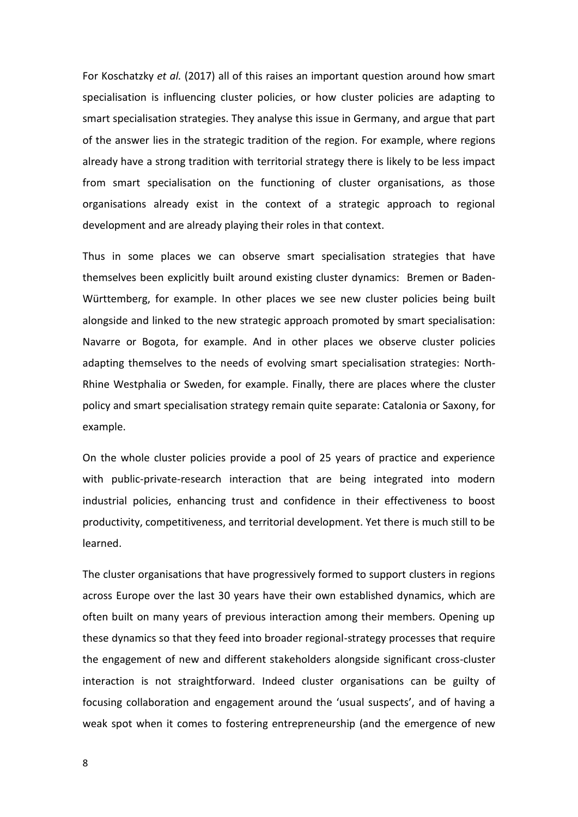For Koschatzky *et al.* (2017) all of this raises an important question around how smart specialisation is influencing cluster policies, or how cluster policies are adapting to smart specialisation strategies. They analyse this issue in Germany, and argue that part of the answer lies in the strategic tradition of the region. For example, where regions already have a strong tradition with territorial strategy there is likely to be less impact from smart specialisation on the functioning of cluster organisations, as those organisations already exist in the context of a strategic approach to regional development and are already playing their roles in that context.

Thus in some places we can observe smart specialisation strategies that have themselves been explicitly built around existing cluster dynamics: Bremen or Baden-Württemberg, for example. In other places we see new cluster policies being built alongside and linked to the new strategic approach promoted by smart specialisation: Navarre or Bogota, for example. And in other places we observe cluster policies adapting themselves to the needs of evolving smart specialisation strategies: North-Rhine Westphalia or Sweden, for example. Finally, there are places where the cluster policy and smart specialisation strategy remain quite separate: Catalonia or Saxony, for example.

On the whole cluster policies provide a pool of 25 years of practice and experience with public-private-research interaction that are being integrated into modern industrial policies, enhancing trust and confidence in their effectiveness to boost productivity, competitiveness, and territorial development. Yet there is much still to be learned.

The cluster organisations that have progressively formed to support clusters in regions across Europe over the last 30 years have their own established dynamics, which are often built on many years of previous interaction among their members. Opening up these dynamics so that they feed into broader regional-strategy processes that require the engagement of new and different stakeholders alongside significant cross-cluster interaction is not straightforward. Indeed cluster organisations can be guilty of focusing collaboration and engagement around the 'usual suspects', and of having a weak spot when it comes to fostering entrepreneurship (and the emergence of new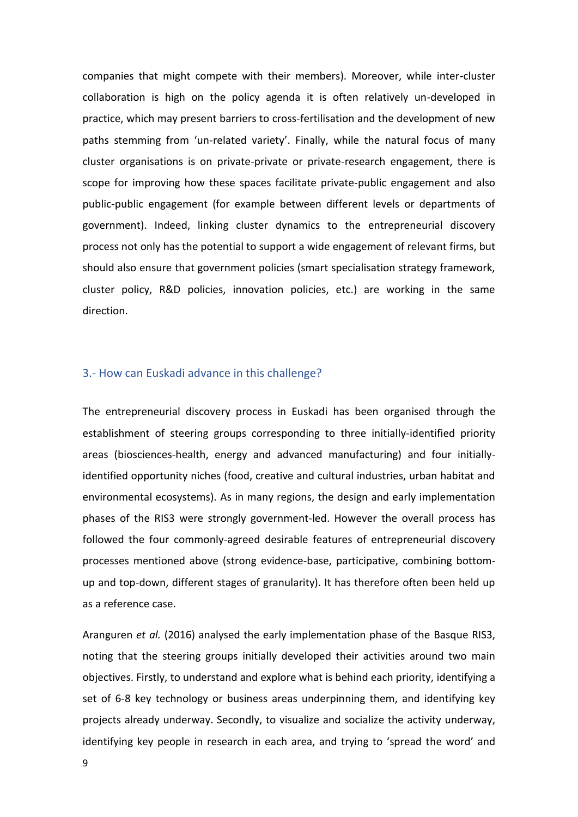companies that might compete with their members). Moreover, while inter-cluster collaboration is high on the policy agenda it is often relatively un-developed in practice, which may present barriers to cross-fertilisation and the development of new paths stemming from 'un-related variety'. Finally, while the natural focus of many cluster organisations is on private-private or private-research engagement, there is scope for improving how these spaces facilitate private-public engagement and also public-public engagement (for example between different levels or departments of government). Indeed, linking cluster dynamics to the entrepreneurial discovery process not only has the potential to support a wide engagement of relevant firms, but should also ensure that government policies (smart specialisation strategy framework, cluster policy, R&D policies, innovation policies, etc.) are working in the same direction.

## 3.- How can Euskadi advance in this challenge?

The entrepreneurial discovery process in Euskadi has been organised through the establishment of steering groups corresponding to three initially-identified priority areas (biosciences-health, energy and advanced manufacturing) and four initiallyidentified opportunity niches (food, creative and cultural industries, urban habitat and environmental ecosystems). As in many regions, the design and early implementation phases of the RIS3 were strongly government-led. However the overall process has followed the four commonly-agreed desirable features of entrepreneurial discovery processes mentioned above (strong evidence-base, participative, combining bottomup and top-down, different stages of granularity). It has therefore often been held up as a reference case.

Aranguren *et al.* (2016) analysed the early implementation phase of the Basque RIS3, noting that the steering groups initially developed their activities around two main objectives. Firstly, to understand and explore what is behind each priority, identifying a set of 6-8 key technology or business areas underpinning them, and identifying key projects already underway. Secondly, to visualize and socialize the activity underway, identifying key people in research in each area, and trying to 'spread the word' and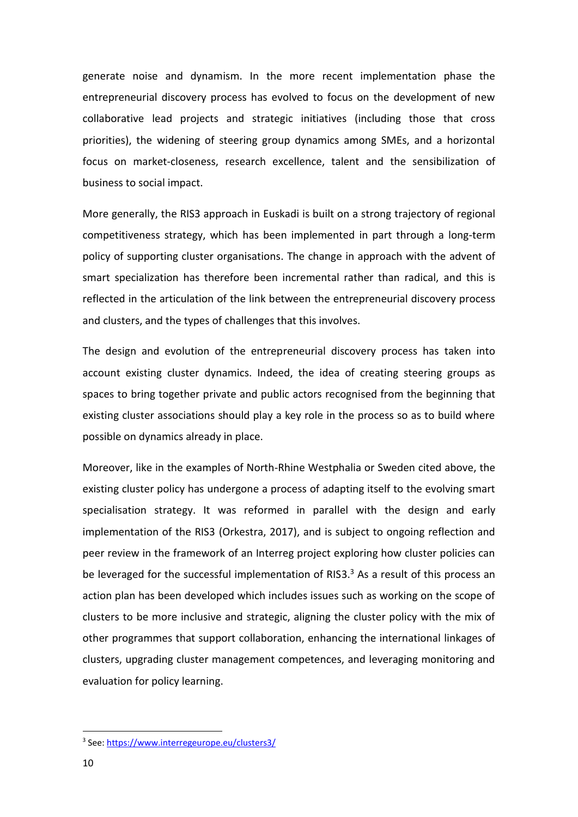generate noise and dynamism. In the more recent implementation phase the entrepreneurial discovery process has evolved to focus on the development of new collaborative lead projects and strategic initiatives (including those that cross priorities), the widening of steering group dynamics among SMEs, and a horizontal focus on market-closeness, research excellence, talent and the sensibilization of business to social impact.

More generally, the RIS3 approach in Euskadi is built on a strong trajectory of regional competitiveness strategy, which has been implemented in part through a long-term policy of supporting cluster organisations. The change in approach with the advent of smart specialization has therefore been incremental rather than radical, and this is reflected in the articulation of the link between the entrepreneurial discovery process and clusters, and the types of challenges that this involves.

The design and evolution of the entrepreneurial discovery process has taken into account existing cluster dynamics. Indeed, the idea of creating steering groups as spaces to bring together private and public actors recognised from the beginning that existing cluster associations should play a key role in the process so as to build where possible on dynamics already in place.

Moreover, like in the examples of North-Rhine Westphalia or Sweden cited above, the existing cluster policy has undergone a process of adapting itself to the evolving smart specialisation strategy. It was reformed in parallel with the design and early implementation of the RIS3 (Orkestra, 2017), and is subject to ongoing reflection and peer review in the framework of an Interreg project exploring how cluster policies can be leveraged for the successful implementation of RIS3. $3$  As a result of this process an action plan has been developed which includes issues such as working on the scope of clusters to be more inclusive and strategic, aligning the cluster policy with the mix of other programmes that support collaboration, enhancing the international linkages of clusters, upgrading cluster management competences, and leveraging monitoring and evaluation for policy learning.

<sup>&</sup>lt;sup>3</sup> See:<https://www.interregeurope.eu/clusters3/>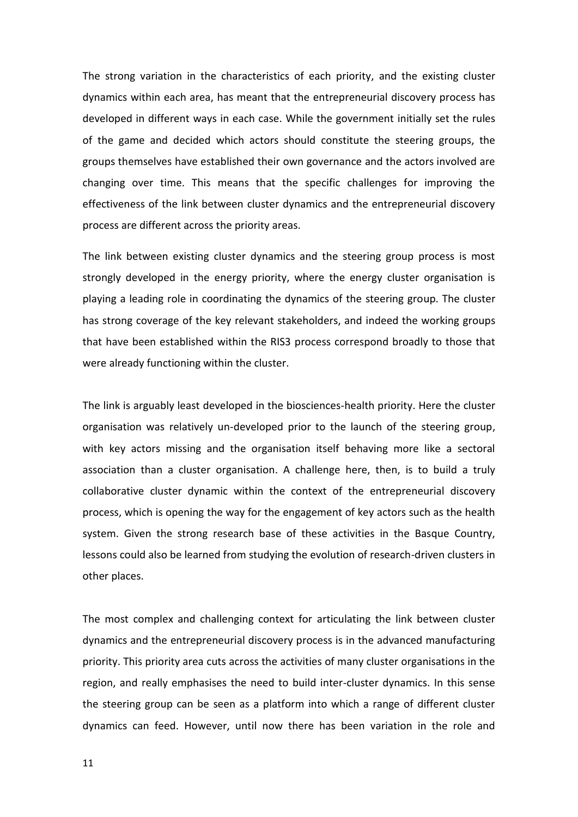The strong variation in the characteristics of each priority, and the existing cluster dynamics within each area, has meant that the entrepreneurial discovery process has developed in different ways in each case. While the government initially set the rules of the game and decided which actors should constitute the steering groups, the groups themselves have established their own governance and the actors involved are changing over time. This means that the specific challenges for improving the effectiveness of the link between cluster dynamics and the entrepreneurial discovery process are different across the priority areas.

The link between existing cluster dynamics and the steering group process is most strongly developed in the energy priority, where the energy cluster organisation is playing a leading role in coordinating the dynamics of the steering group. The cluster has strong coverage of the key relevant stakeholders, and indeed the working groups that have been established within the RIS3 process correspond broadly to those that were already functioning within the cluster.

The link is arguably least developed in the biosciences-health priority. Here the cluster organisation was relatively un-developed prior to the launch of the steering group, with key actors missing and the organisation itself behaving more like a sectoral association than a cluster organisation. A challenge here, then, is to build a truly collaborative cluster dynamic within the context of the entrepreneurial discovery process, which is opening the way for the engagement of key actors such as the health system. Given the strong research base of these activities in the Basque Country, lessons could also be learned from studying the evolution of research-driven clusters in other places.

The most complex and challenging context for articulating the link between cluster dynamics and the entrepreneurial discovery process is in the advanced manufacturing priority. This priority area cuts across the activities of many cluster organisations in the region, and really emphasises the need to build inter-cluster dynamics. In this sense the steering group can be seen as a platform into which a range of different cluster dynamics can feed. However, until now there has been variation in the role and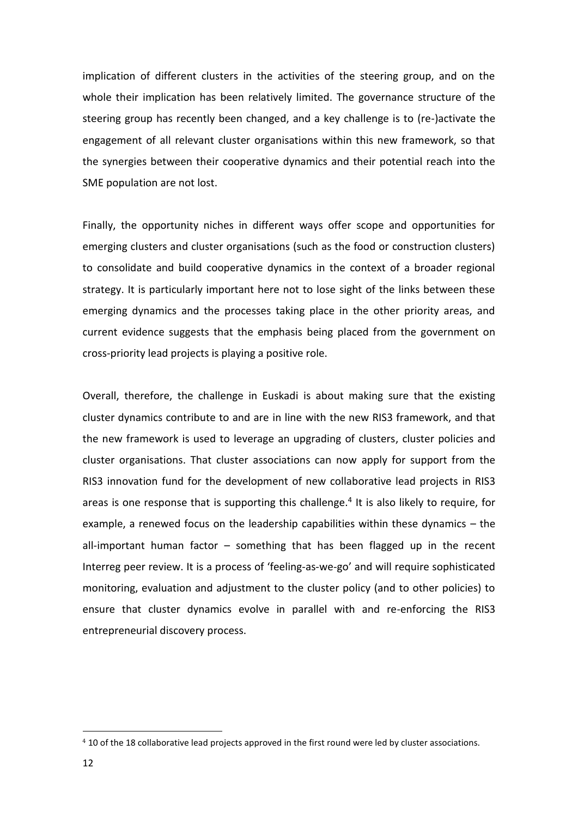implication of different clusters in the activities of the steering group, and on the whole their implication has been relatively limited. The governance structure of the steering group has recently been changed, and a key challenge is to (re-)activate the engagement of all relevant cluster organisations within this new framework, so that the synergies between their cooperative dynamics and their potential reach into the SME population are not lost.

Finally, the opportunity niches in different ways offer scope and opportunities for emerging clusters and cluster organisations (such as the food or construction clusters) to consolidate and build cooperative dynamics in the context of a broader regional strategy. It is particularly important here not to lose sight of the links between these emerging dynamics and the processes taking place in the other priority areas, and current evidence suggests that the emphasis being placed from the government on cross-priority lead projects is playing a positive role.

Overall, therefore, the challenge in Euskadi is about making sure that the existing cluster dynamics contribute to and are in line with the new RIS3 framework, and that the new framework is used to leverage an upgrading of clusters, cluster policies and cluster organisations. That cluster associations can now apply for support from the RIS3 innovation fund for the development of new collaborative lead projects in RIS3 areas is one response that is supporting this challenge.<sup>4</sup> It is also likely to require, for example, a renewed focus on the leadership capabilities within these dynamics – the all-important human factor – something that has been flagged up in the recent Interreg peer review. It is a process of 'feeling-as-we-go' and will require sophisticated monitoring, evaluation and adjustment to the cluster policy (and to other policies) to ensure that cluster dynamics evolve in parallel with and re-enforcing the RIS3 entrepreneurial discovery process.

<sup>4</sup> 10 of the 18 collaborative lead projects approved in the first round were led by cluster associations.